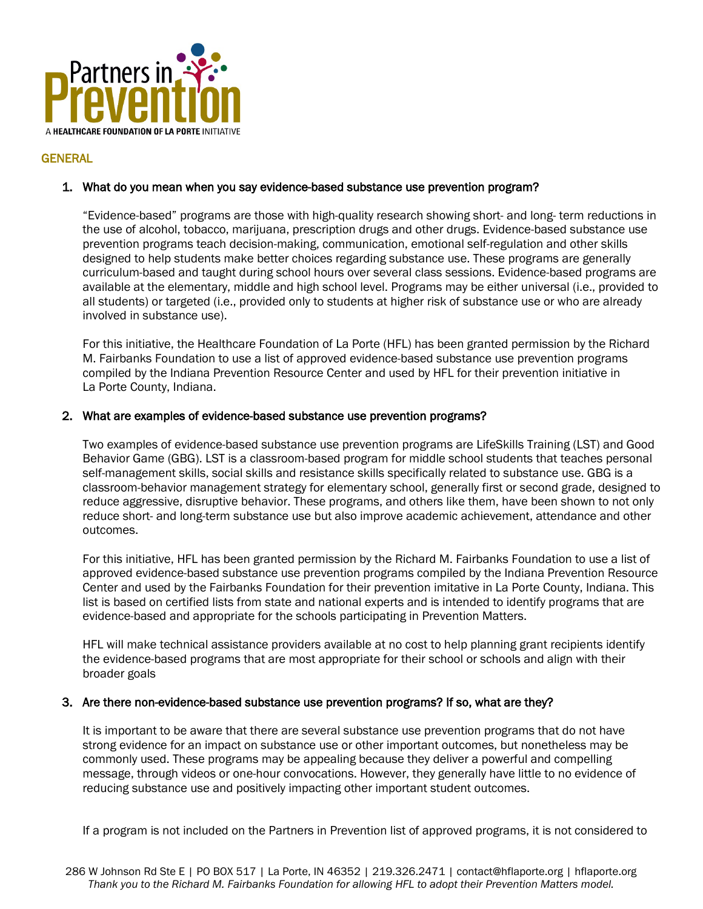

# **GENERAL**

### 1. What do you mean when you say evidence-based substance use prevention program?

"Evidence-based" programs are those with high-quality research showing short- and long- term reductions in the use of alcohol, tobacco, marijuana, prescription drugs and other drugs. Evidence-based substance use prevention programs teach decision-making, communication, emotional self-regulation and other skills designed to help students make better choices regarding substance use. These programs are generally curriculum-based and taught during school hours over several class sessions. Evidence-based programs are available at the elementary, middle and high school level. Programs may be either universal (i.e., provided to all students) or targeted (i.e., provided only to students at higher risk of substance use or who are already involved in substance use).

For this initiative, the Healthcare Foundation of La Porte (HFL) has been granted permission by the Richard M. Fairbanks Foundation to use a list of approved evidence-based substance use prevention programs compiled by the Indiana Prevention Resource Center and used by HFL for their prevention initiative in La Porte County, Indiana.

#### 2. What are examples of evidence-based substance use prevention programs?

Two examples of evidence-based substance use prevention programs are LifeSkills Training (LST) and Good Behavior Game (GBG). LST is a classroom-based program for middle school students that teaches personal self-management skills, social skills and resistance skills specifically related to substance use. GBG is a classroom-behavior management strategy for elementary school, generally first or second grade, designed to reduce aggressive, disruptive behavior. These programs, and others like them, have been shown to not only reduce short- and long-term substance use but also improve academic achievement, attendance and other outcomes.

For this initiative, HFL has been granted permission by the Richard M. Fairbanks Foundation to use a list of approved evidence-based substance use prevention programs compiled by the Indiana Prevention Resource Center and used by the Fairbanks Foundation for their prevention imitative in La Porte County, Indiana. This list is based on certified lists from state and national experts and is intended to identify programs that are evidence-based and appropriate for the schools participating in Prevention Matters.

HFL will make technical assistance providers available at no cost to help planning grant recipients identify the evidence-based programs that are most appropriate for their school or schools and align with their broader goals

#### 3. Are there non-evidence-based substance use prevention programs? If so, what are they?

It is important to be aware that there are several substance use prevention programs that do not have strong evidence for an impact on substance use or other important outcomes, but nonetheless may be commonly used. These programs may be appealing because they deliver a powerful and compelling message, through videos or one-hour convocations. However, they generally have little to no evidence of reducing substance use and positively impacting other important student outcomes.

If a program is not included on the Partners in Prevention list of approved programs, it is not considered to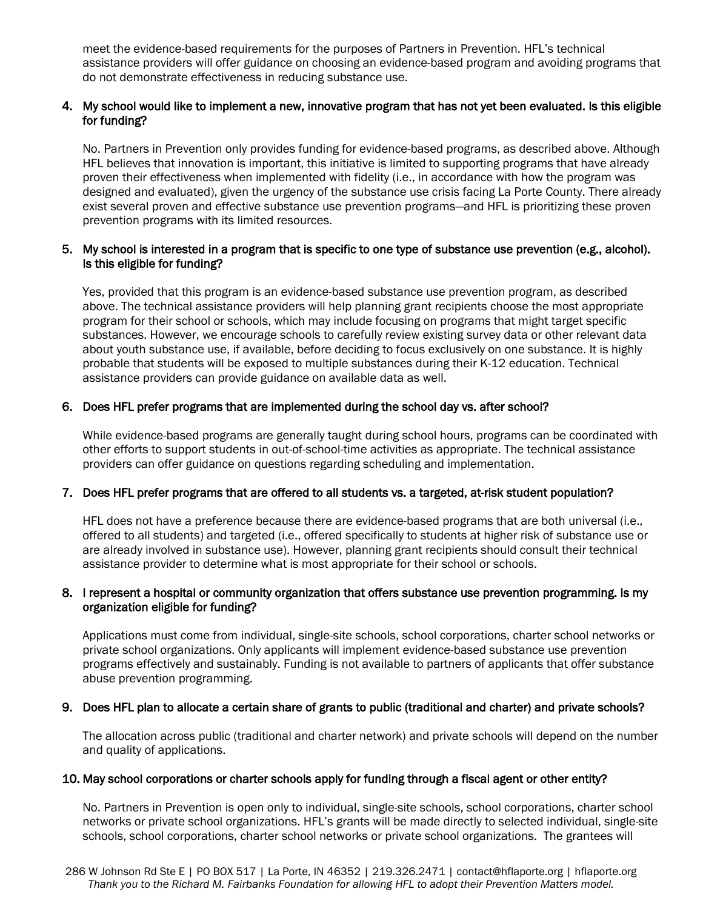meet the evidence-based requirements for the purposes of Partners in Prevention. HFL's technical assistance providers will offer guidance on choosing an evidence-based program and avoiding programs that do not demonstrate effectiveness in reducing substance use.

# 4. My school would like to implement a new, innovative program that has not yet been evaluated. Is this eligible for funding?

No. Partners in Prevention only provides funding for evidence-based programs, as described above. Although HFL believes that innovation is important, this initiative is limited to supporting programs that have already proven their effectiveness when implemented with fidelity (i.e., in accordance with how the program was designed and evaluated), given the urgency of the substance use crisis facing La Porte County. There already exist several proven and effective substance use prevention programs—and HFL is prioritizing these proven prevention programs with its limited resources.

# 5. My school is interested in a program that is specific to one type of substance use prevention (e.g., alcohol). Is this eligible for funding?

Yes, provided that this program is an evidence-based substance use prevention program, as described above. The technical assistance providers will help planning grant recipients choose the most appropriate program for their school or schools, which may include focusing on programs that might target specific substances. However, we encourage schools to carefully review existing survey data or other relevant data about youth substance use, if available, before deciding to focus exclusively on one substance. It is highly probable that students will be exposed to multiple substances during their K-12 education. Technical assistance providers can provide guidance on available data as well.

# 6. Does HFL prefer programs that are implemented during the school day vs. after school?

While evidence-based programs are generally taught during school hours, programs can be coordinated with other efforts to support students in out-of-school-time activities as appropriate. The technical assistance providers can offer guidance on questions regarding scheduling and implementation.

### 7. Does HFL prefer programs that are offered to all students vs. a targeted, at-risk student population?

HFL does not have a preference because there are evidence-based programs that are both universal (i.e., offered to all students) and targeted (i.e., offered specifically to students at higher risk of substance use or are already involved in substance use). However, planning grant recipients should consult their technical assistance provider to determine what is most appropriate for their school or schools.

### 8. I represent a hospital or community organization that offers substance use prevention programming. Is my organization eligible for funding?

Applications must come from individual, single-site schools, school corporations, charter school networks or private school organizations. Only applicants will implement evidence-based substance use prevention programs effectively and sustainably. Funding is not available to partners of applicants that offer substance abuse prevention programming.

### 9. Does HFL plan to allocate a certain share of grants to public (traditional and charter) and private schools?

The allocation across public (traditional and charter network) and private schools will depend on the number and quality of applications.

### 10. May school corporations or charter schools apply for funding through a fiscal agent or other entity?

No. Partners in Prevention is open only to individual, single-site schools, school corporations, charter school networks or private school organizations. HFL's grants will be made directly to selected individual, single-site schools, school corporations, charter school networks or private school organizations. The grantees will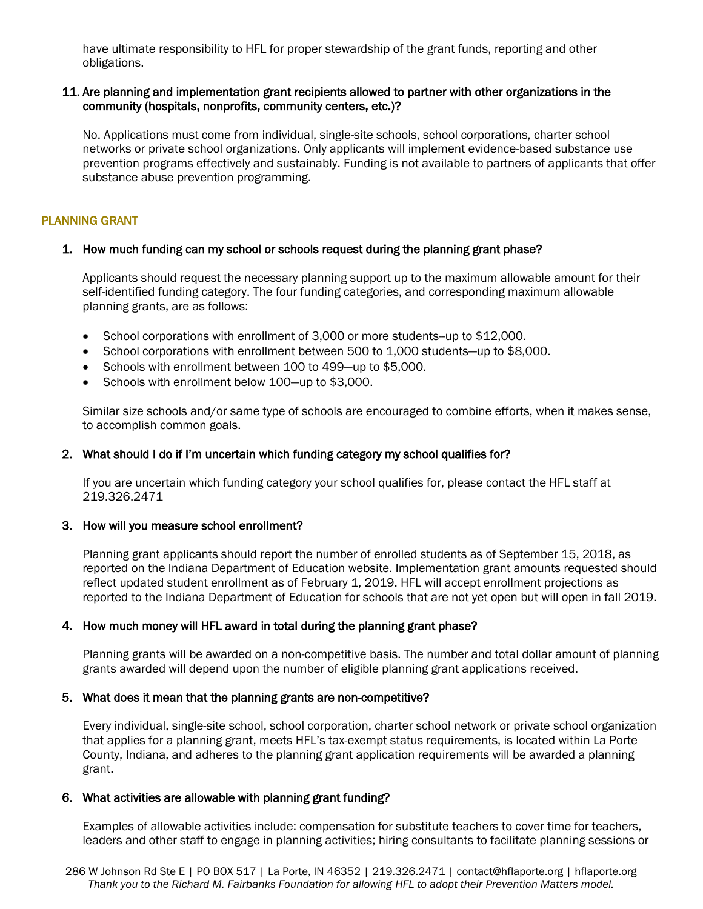have ultimate responsibility to HFL for proper stewardship of the grant funds, reporting and other obligations.

#### 11. Are planning and implementation grant recipients allowed to partner with other organizations in the community (hospitals, nonprofits, community centers, etc.)?

No. Applications must come from individual, single-site schools, school corporations, charter school networks or private school organizations. Only applicants will implement evidence-based substance use prevention programs effectively and sustainably. Funding is not available to partners of applicants that offer substance abuse prevention programming.

# PLANNING GRANT

### 1. How much funding can my school or schools request during the planning grant phase?

Applicants should request the necessary planning support up to the maximum allowable amount for their self-identified funding category. The four funding categories, and corresponding maximum allowable planning grants, are as follows:

- School corporations with enrollment of 3,000 or more students--up to \$12,000.
- School corporations with enrollment between 500 to 1,000 students—up to \$8,000.
- Schools with enrollment between 100 to 499—up to \$5,000.
- Schools with enrollment below 100—up to \$3,000.

Similar size schools and/or same type of schools are encouraged to combine efforts, when it makes sense, to accomplish common goals.

### 2. What should I do if I'm uncertain which funding category my school qualifies for?

If you are uncertain which funding category your school qualifies for, please contact the HFL staff at 219.326.2471

### 3. How will you measure school enrollment?

Planning grant applicants should report the number of enrolled students as of September 15, 2018, as reported on the Indiana Department of Education website. Implementation grant amounts requested should reflect updated student enrollment as of February 1, 2019. HFL will accept enrollment projections as reported to the Indiana Department of Education for schools that are not yet open but will open in fall 2019.

### 4. How much money will HFL award in total during the planning grant phase?

Planning grants will be awarded on a non-competitive basis. The number and total dollar amount of planning grants awarded will depend upon the number of eligible planning grant applications received.

### 5. What does it mean that the planning grants are non-competitive?

Every individual, single-site school, school corporation, charter school network or private school organization that applies for a planning grant, meets HFL's tax-exempt status requirements, is located within La Porte County, Indiana, and adheres to the planning grant application requirements will be awarded a planning grant.

### 6. What activities are allowable with planning grant funding?

Examples of allowable activities include: compensation for substitute teachers to cover time for teachers, leaders and other staff to engage in planning activities; hiring consultants to facilitate planning sessions or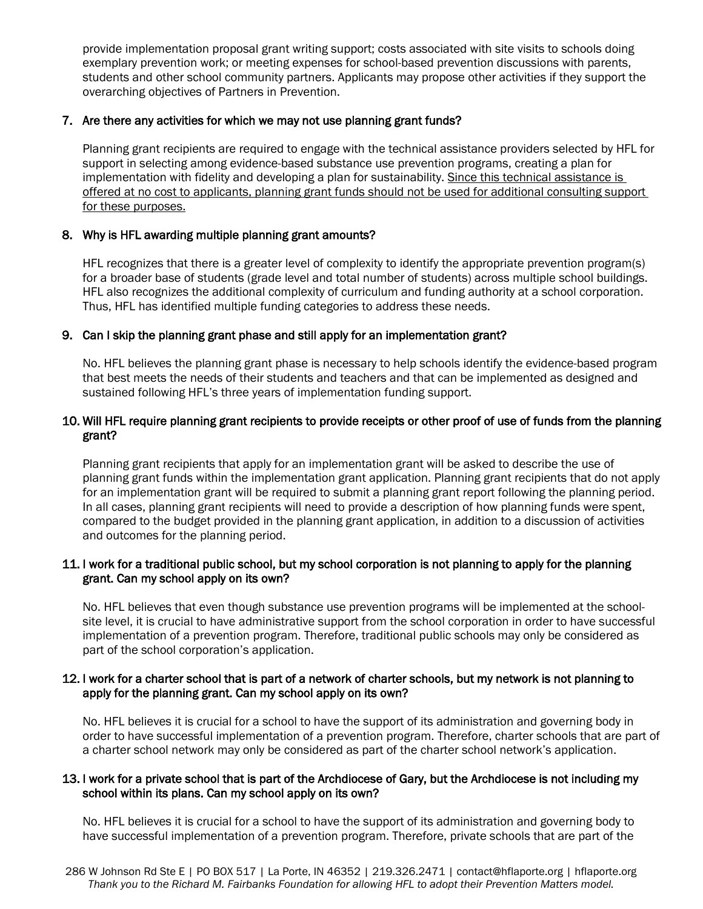provide implementation proposal grant writing support; costs associated with site visits to schools doing exemplary prevention work; or meeting expenses for school-based prevention discussions with parents, students and other school community partners. Applicants may propose other activities if they support the overarching objectives of Partners in Prevention.

### 7. Are there any activities for which we may not use planning grant funds?

Planning grant recipients are required to engage with the technical assistance providers selected by HFL for support in selecting among evidence-based substance use prevention programs, creating a plan for implementation with fidelity and developing a plan for sustainability. Since this technical assistance is offered at no cost to applicants, planning grant funds should not be used for additional consulting support for these purposes.

# 8. Why is HFL awarding multiple planning grant amounts?

HFL recognizes that there is a greater level of complexity to identify the appropriate prevention program(s) for a broader base of students (grade level and total number of students) across multiple school buildings. HFL also recognizes the additional complexity of curriculum and funding authority at a school corporation. Thus, HFL has identified multiple funding categories to address these needs.

# 9. Can I skip the planning grant phase and still apply for an implementation grant?

No. HFL believes the planning grant phase is necessary to help schools identify the evidence-based program that best meets the needs of their students and teachers and that can be implemented as designed and sustained following HFL's three years of implementation funding support.

# 10. Will HFL require planning grant recipients to provide receipts or other proof of use of funds from the planning grant?

Planning grant recipients that apply for an implementation grant will be asked to describe the use of planning grant funds within the implementation grant application. Planning grant recipients that do not apply for an implementation grant will be required to submit a planning grant report following the planning period. In all cases, planning grant recipients will need to provide a description of how planning funds were spent, compared to the budget provided in the planning grant application, in addition to a discussion of activities and outcomes for the planning period.

# 11. I work for a traditional public school, but my school corporation is not planning to apply for the planning grant. Can my school apply on its own?

No. HFL believes that even though substance use prevention programs will be implemented at the schoolsite level, it is crucial to have administrative support from the school corporation in order to have successful implementation of a prevention program. Therefore, traditional public schools may only be considered as part of the school corporation's application.

### 12. I work for a charter school that is part of a network of charter schools, but my network is not planning to apply for the planning grant. Can my school apply on its own?

No. HFL believes it is crucial for a school to have the support of its administration and governing body in order to have successful implementation of a prevention program. Therefore, charter schools that are part of a charter school network may only be considered as part of the charter school network's application.

### 13. I work for a private school that is part of the Archdiocese of Gary, but the Archdiocese is not including my school within its plans. Can my school apply on its own?

No. HFL believes it is crucial for a school to have the support of its administration and governing body to have successful implementation of a prevention program. Therefore, private schools that are part of the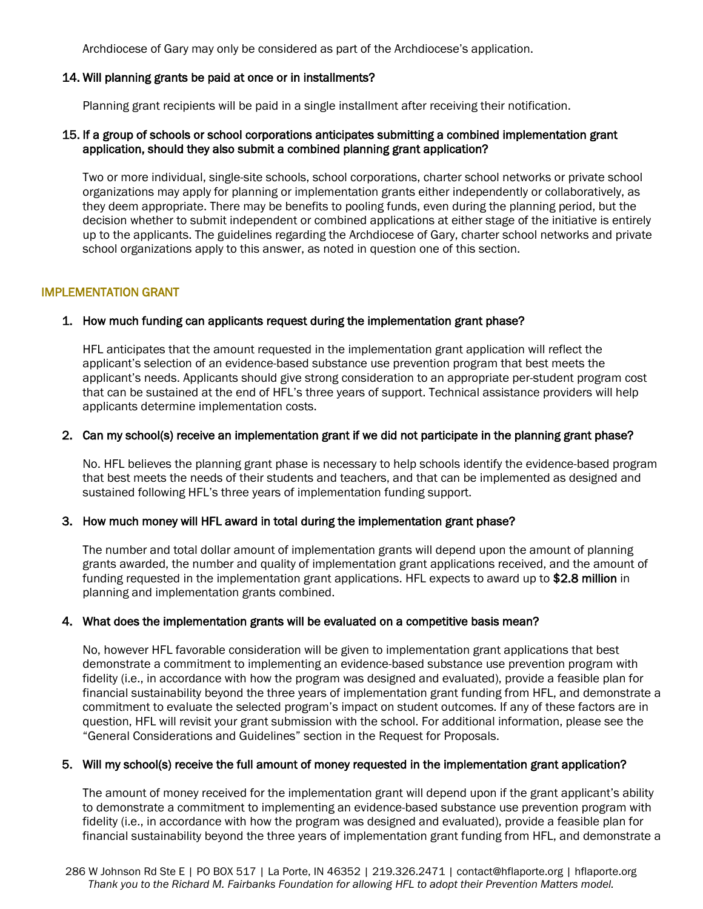Archdiocese of Gary may only be considered as part of the Archdiocese's application.

#### 14. Will planning grants be paid at once or in installments?

Planning grant recipients will be paid in a single installment after receiving their notification.

### 15. If a group of schools or school corporations anticipates submitting a combined implementation grant application, should they also submit a combined planning grant application?

Two or more individual, single-site schools, school corporations, charter school networks or private school organizations may apply for planning or implementation grants either independently or collaboratively, as they deem appropriate. There may be benefits to pooling funds, even during the planning period, but the decision whether to submit independent or combined applications at either stage of the initiative is entirely up to the applicants. The guidelines regarding the Archdiocese of Gary, charter school networks and private school organizations apply to this answer, as noted in question one of this section.

### IMPLEMENTATION GRANT

# 1. How much funding can applicants request during the implementation grant phase?

HFL anticipates that the amount requested in the implementation grant application will reflect the applicant's selection of an evidence-based substance use prevention program that best meets the applicant's needs. Applicants should give strong consideration to an appropriate per-student program cost that can be sustained at the end of HFL's three years of support. Technical assistance providers will help applicants determine implementation costs.

### 2. Can my school(s) receive an implementation grant if we did not participate in the planning grant phase?

No. HFL believes the planning grant phase is necessary to help schools identify the evidence-based program that best meets the needs of their students and teachers, and that can be implemented as designed and sustained following HFL's three years of implementation funding support.

### 3. How much money will HFL award in total during the implementation grant phase?

The number and total dollar amount of implementation grants will depend upon the amount of planning grants awarded, the number and quality of implementation grant applications received, and the amount of funding requested in the implementation grant applications. HFL expects to award up to \$2.8 million in planning and implementation grants combined.

### 4. What does the implementation grants will be evaluated on a competitive basis mean?

No, however HFL favorable consideration will be given to implementation grant applications that best demonstrate a commitment to implementing an evidence-based substance use prevention program with fidelity (i.e., in accordance with how the program was designed and evaluated), provide a feasible plan for financial sustainability beyond the three years of implementation grant funding from HFL, and demonstrate a commitment to evaluate the selected program's impact on student outcomes. If any of these factors are in question, HFL will revisit your grant submission with the school. For additional information, please see the "General Considerations and Guidelines" section in the Request for Proposals.

### 5. Will my school(s) receive the full amount of money requested in the implementation grant application?

The amount of money received for the implementation grant will depend upon if the grant applicant's ability to demonstrate a commitment to implementing an evidence-based substance use prevention program with fidelity (i.e., in accordance with how the program was designed and evaluated), provide a feasible plan for financial sustainability beyond the three years of implementation grant funding from HFL, and demonstrate a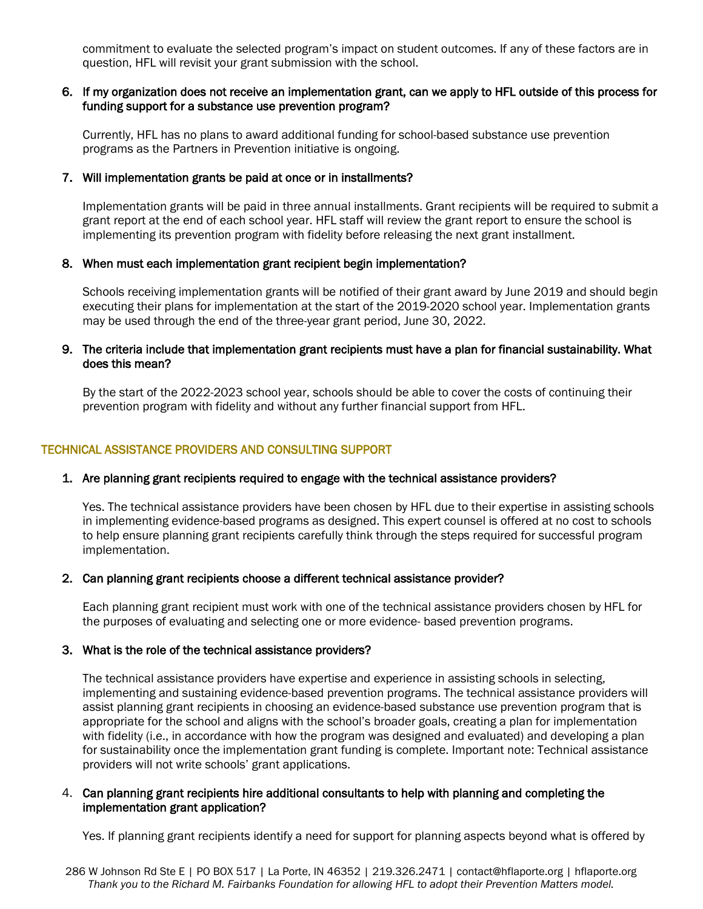commitment to evaluate the selected program's impact on student outcomes. If any of these factors are in question, HFL will revisit your grant submission with the school.

### 6. If my organization does not receive an implementation grant, can we apply to HFL outside of this process for funding support for a substance use prevention program?

Currently, HFL has no plans to award additional funding for school-based substance use prevention programs as the Partners in Prevention initiative is ongoing.

### 7. Will implementation grants be paid at once or in installments?

Implementation grants will be paid in three annual installments. Grant recipients will be required to submit a grant report at the end of each school year. HFL staff will review the grant report to ensure the school is implementing its prevention program with fidelity before releasing the next grant installment.

#### 8. When must each implementation grant recipient begin implementation?

Schools receiving implementation grants will be notified of their grant award by June 2019 and should begin executing their plans for implementation at the start of the 2019-2020 school year. Implementation grants may be used through the end of the three-year grant period, June 30, 2022.

### 9. The criteria include that implementation grant recipients must have a plan for financial sustainability. What does this mean?

By the start of the 2022-2023 school year, schools should be able to cover the costs of continuing their prevention program with fidelity and without any further financial support from HFL.

### TECHNICAL ASSISTANCE PROVIDERS AND CONSULTING SUPPORT

### 1. Are planning grant recipients required to engage with the technical assistance providers?

Yes. The technical assistance providers have been chosen by HFL due to their expertise in assisting schools in implementing evidence-based programs as designed. This expert counsel is offered at no cost to schools to help ensure planning grant recipients carefully think through the steps required for successful program implementation.

#### 2. Can planning grant recipients choose a different technical assistance provider?

Each planning grant recipient must work with one of the technical assistance providers chosen by HFL for the purposes of evaluating and selecting one or more evidence- based prevention programs.

#### 3. What is the role of the technical assistance providers?

The technical assistance providers have expertise and experience in assisting schools in selecting, implementing and sustaining evidence-based prevention programs. The technical assistance providers will assist planning grant recipients in choosing an evidence-based substance use prevention program that is appropriate for the school and aligns with the school's broader goals, creating a plan for implementation with fidelity (i.e., in accordance with how the program was designed and evaluated) and developing a plan for sustainability once the implementation grant funding is complete. Important note: Technical assistance providers will not write schools' grant applications.

### 4. Can planning grant recipients hire additional consultants to help with planning and completing the implementation grant application?

Yes. If planning grant recipients identify a need for support for planning aspects beyond what is offered by